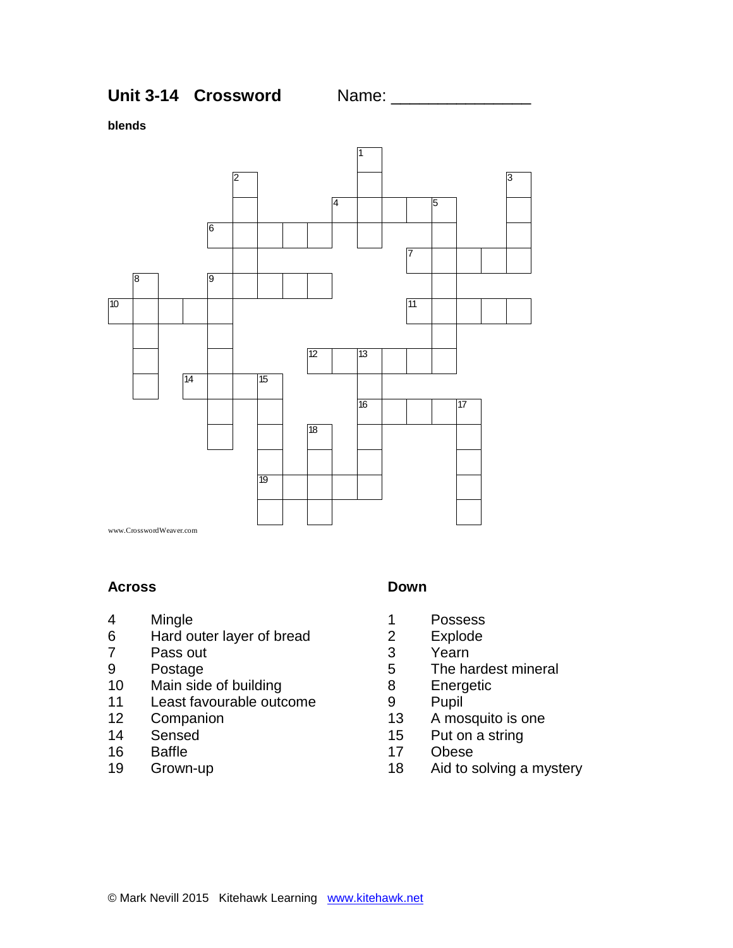**Unit 3-14 Crossword Mame: 2006 Mame: 2006 Mame: 2006 Mame: 2006 Mame: 2006 Mame: 2006 Mame: 2006 Mame: 2006 Ma** 

**blends**



#### **Across**

- Mingle
- Hard outer layer of bread
- Pass out
- Postage
- Main side of building
- Least favourable outcome
- Companion
- Sensed
- Baffle
- Grown-up

## **Down**

- Possess
- Explode
- Yearn
- The hardest mineral
- Energetic
- Pupil
- A mosquito is one
- Put on a string
- Obese
- Aid to solving a mystery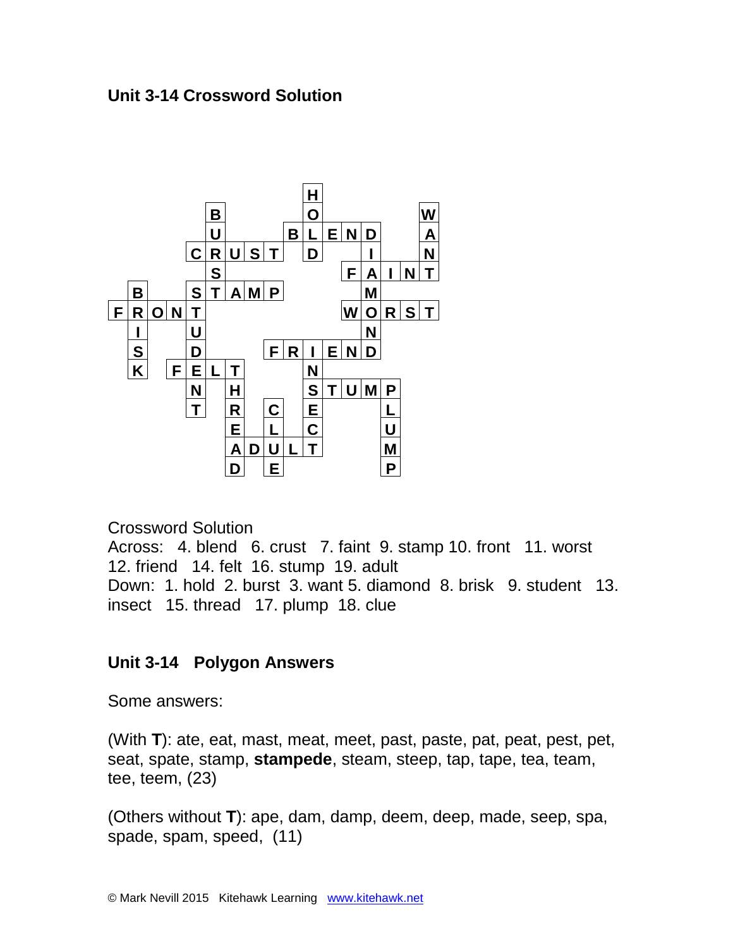## **Unit 3-14 Crossword Solution**



Crossword Solution

Across: 4. blend 6. crust 7. faint 9. stamp 10. front 11. worst 12. friend 14. felt 16. stump 19. adult Down: 1. hold 2. burst 3. want 5. diamond 8. brisk 9. student 13. insect 15. thread 17. plump 18. clue

# **Unit 3-14 Polygon Answers**

Some answers:

(With **T**): ate, eat, mast, meat, meet, past, paste, pat, peat, pest, pet, seat, spate, stamp, **stampede**, steam, steep, tap, tape, tea, team, tee, teem, (23)

(Others without **T**): ape, dam, damp, deem, deep, made, seep, spa, spade, spam, speed, (11)